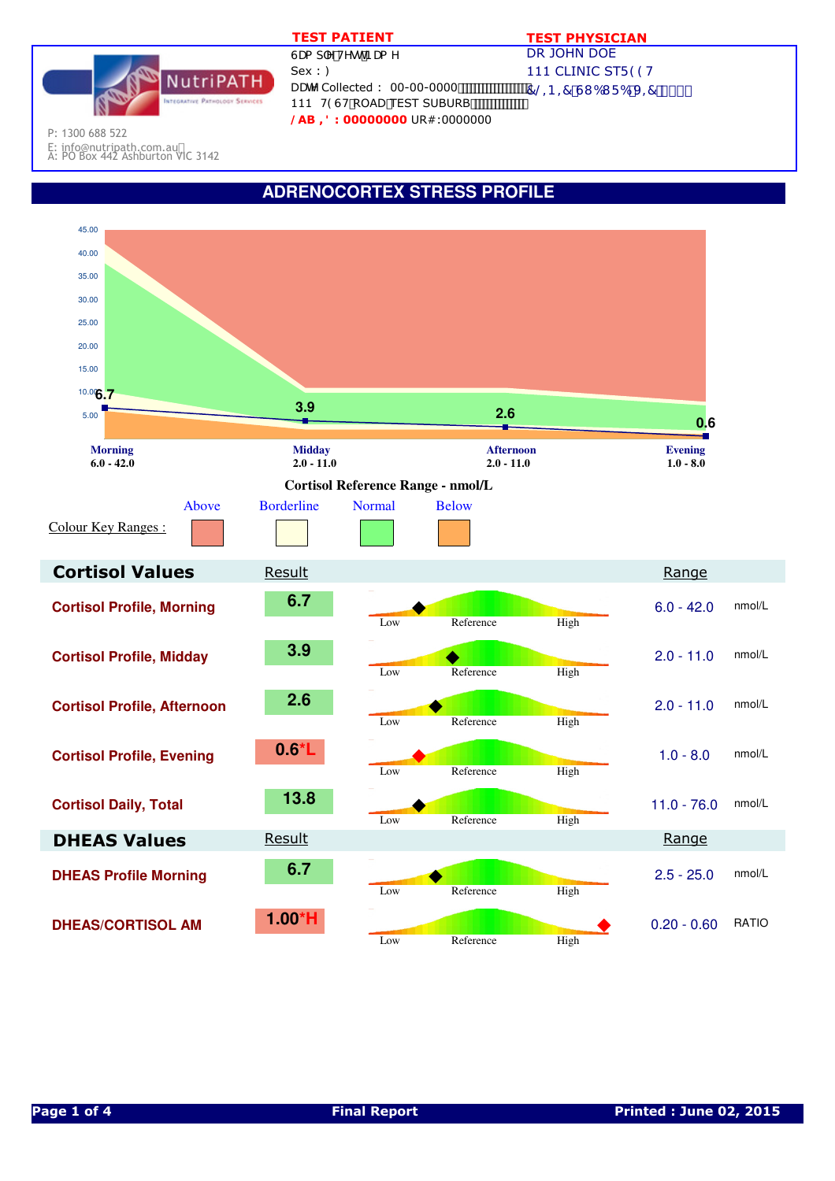|                                      | <b>TEST PATIENT</b>                                                                             | <b>TEST PHYSICIAN</b>                       |
|--------------------------------------|-------------------------------------------------------------------------------------------------|---------------------------------------------|
| itriPATH.<br>TIVE PATHOLOGY SERVICES | GUa d'Y HYgh BUa Y                                                                              | DR JOHN DOE                                 |
|                                      | Sex ::                                                                                          | 111 CLINIC STF 99H                          |
|                                      | DUHY Collected: 00-00-0000<br>111 H9GH ROAD TEST SUBURB<br><b>@AB =8: 000000000</b> UR#:0000000 | $7@-B = 7$ GI 6I F 6 J = 7 $\degree$ \$\$\$ |

P: 1300 688 522

E: info@nutripath.com.au A: PO Box 442 Ashburton VIC 3142

## **ADRENOCORTEX STRESS PROFILE**

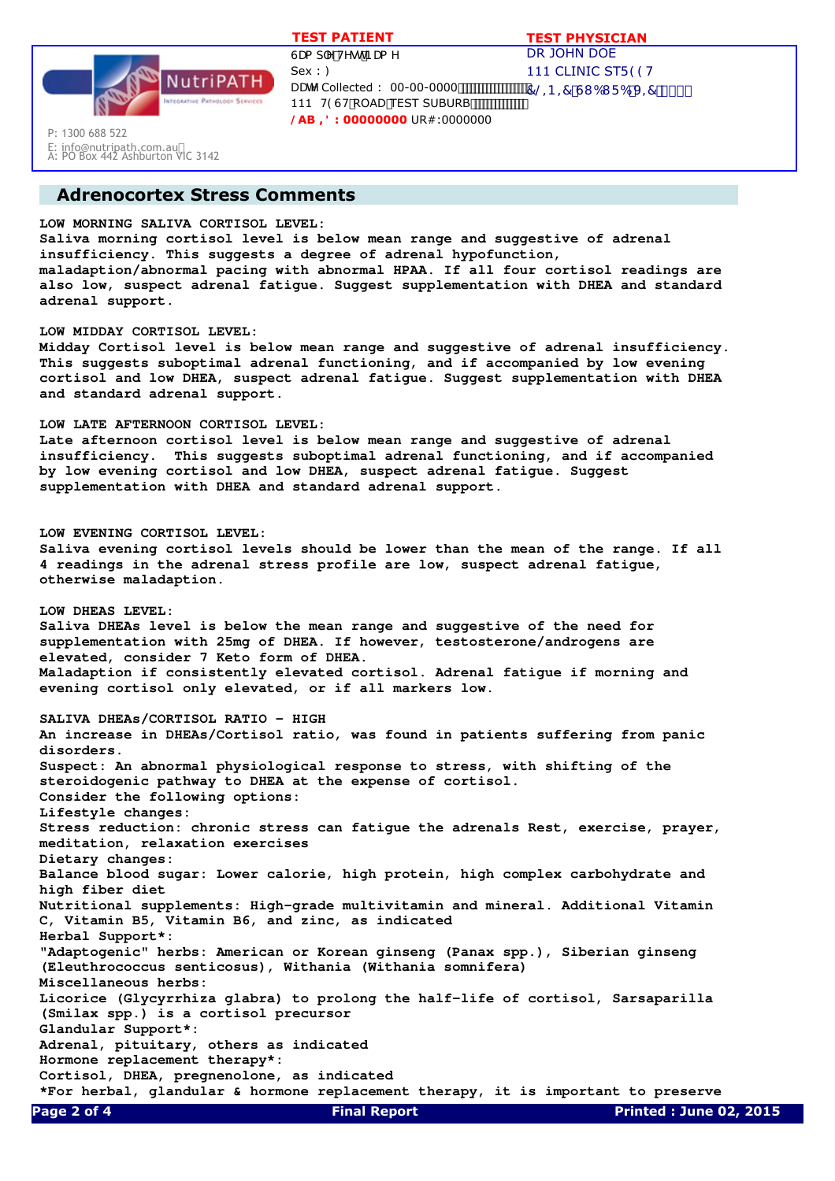

E: info@nutripath.com.au A: PO Box 442 Ashburton VIC 3142

P: 1300 688 522

DR JOHN DOE 111 CLINIC STF 99H  $7@ - B = 7 G1 61 F6 J = 7$  \$\$\$ GUa d'Y'HYgh'BUa Y  $Sex :$ DUHY Collected : 00-00-0000 ................ 111 H9GH ROAD TEST SUBURB **/AB ,': 00000000** UR#:0000000  **TEST PATIENT TEST PHYSICIAN**

# **Adrenocortex Stress Comments**

## **LOW MORNING SALIVA CORTISOL LEVEL:**

**Saliva morning cortisol level is below mean range and suggestive of adrenal insufficiency. This suggests a degree of adrenal hypofunction, maladaption/abnormal pacing with abnormal HPAA. If all four cortisol readings are also low, suspect adrenal fatigue. Suggest supplementation with DHEA and standard adrenal support.**

#### **LOW MIDDAY CORTISOL LEVEL:**

**Midday Cortisol level is below mean range and suggestive of adrenal insufficiency. This suggests suboptimal adrenal functioning, and if accompanied by low evening cortisol and low DHEA, suspect adrenal fatigue. Suggest supplementation with DHEA and standard adrenal support.**

#### **LOW LATE AFTERNOON CORTISOL LEVEL:**

**Late afternoon cortisol level is below mean range and suggestive of adrenal insufficiency. This suggests suboptimal adrenal functioning, and if accompanied by low evening cortisol and low DHEA, suspect adrenal fatigue. Suggest supplementation with DHEA and standard adrenal support.**

#### **LOW EVENING CORTISOL LEVEL:**

**Saliva evening cortisol levels should be lower than the mean of the range. If all 4 readings in the adrenal stress profile are low, suspect adrenal fatigue, otherwise maladaption.**

**LOW DHEAS LEVEL: Saliva DHEAs level is below the mean range and suggestive of the need for supplementation with 25mg of DHEA. If however, testosterone/androgens are elevated, consider 7 Keto form of DHEA. Maladaption if consistently elevated cortisol. Adrenal fatigue if morning and evening cortisol only elevated, or if all markers low.**

**SALIVA DHEAs/CORTISOL RATIO - HIGH An increase in DHEAs/Cortisol ratio, was found in patients suffering from panic disorders. Suspect: An abnormal physiological response to stress, with shifting of the steroidogenic pathway to DHEA at the expense of cortisol. Consider the following options: Lifestyle changes: Stress reduction: chronic stress can fatigue the adrenals Rest, exercise, prayer, meditation, relaxation exercises Dietary changes: Balance blood sugar: Lower calorie, high protein, high complex carbohydrate and high fiber diet Nutritional supplements: High-grade multivitamin and mineral. Additional Vitamin C, Vitamin B5, Vitamin B6, and zinc, as indicated Herbal Support\*: "Adaptogenic" herbs: American or Korean ginseng (Panax spp.), Siberian ginseng (Eleuthrococcus senticosus), Withania (Withania somnifera) Miscellaneous herbs: Licorice (Glycyrrhiza glabra) to prolong the half-life of cortisol, Sarsaparilla (Smilax spp.) is a cortisol precursor Glandular Support\*: Adrenal, pituitary, others as indicated Hormone replacement therapy\*: Cortisol, DHEA, pregnenolone, as indicated \*For herbal, glandular & hormone replacement therapy, it is important to preserve Page 2 of 4 Final Report Printed : June 02, 2015**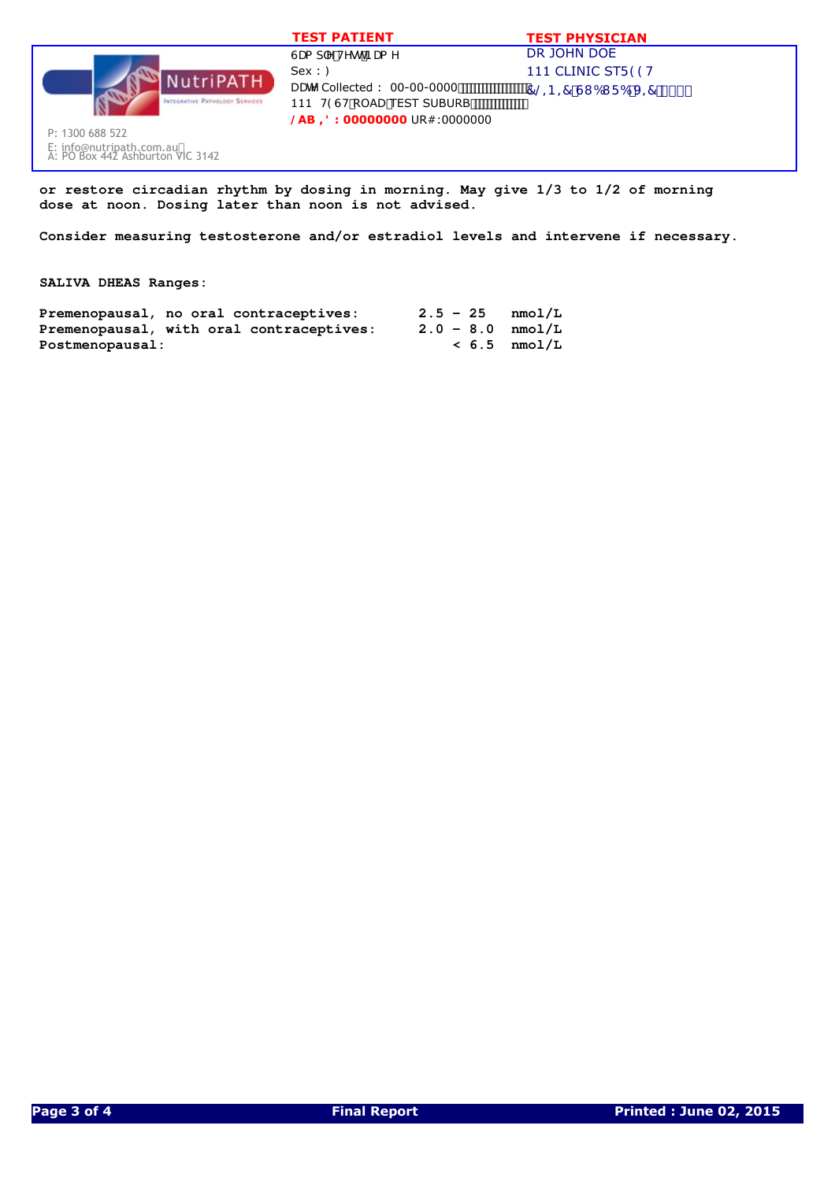|                                                                                 | <b>TEST PATIENT</b>                                                                             | <b>TEST PHYSICIAN</b>                       |
|---------------------------------------------------------------------------------|-------------------------------------------------------------------------------------------------|---------------------------------------------|
|                                                                                 | GUa d'Y HYgh BUa Y                                                                              | DR JOHN DOE                                 |
| <b>NutriPATH</b>                                                                | Sex : :                                                                                         | 111 CLINIC STF 99H                          |
| <b>INTEGRATIVE PATHOLOGY SERVICES</b>                                           | DUHY Collected: 00-00-0000<br>111 H9GH ROAD TEST SUBURB<br>$\Theta$ AB =8: 00000000 UR#:0000000 | $7@-B = 7$ GI 6I F 6 J = 7 $\degree$ \$\$\$ |
| P: 1300 688 522<br>E: info@nutripath.com.au<br>A: PO Box 442 Ashburton VIC 3142 |                                                                                                 |                                             |

**or restore circadian rhythm by dosing in morning. May give 1/3 to 1/2 of morning dose at noon. Dosing later than noon is not advised.**

**Consider measuring testosterone and/or estradiol levels and intervene if necessary.**

### **SALIVA DHEAS Ranges:**

|                 | Premenopausal, no oral contraceptives:   |  | $2.5 - 25$ $mmol/L$ |
|-----------------|------------------------------------------|--|---------------------|
|                 | Premenopausal, with oral contraceptives: |  | $2.0 - 8.0$ nmol/L  |
| Postmenopausal: |                                          |  | $< 6.5$ nmol/L      |